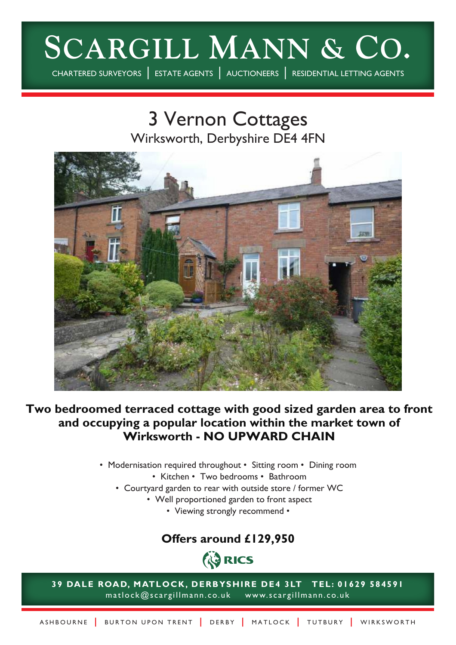# **SCARGILL MANN & CO.**

CHARTERED SURVEYORS | ESTATE AGENTS | AUCTIONEERS | RESIDENTIAL LETTING AGENTS

## 3 Vernon Cottages Wirksworth, Derbyshire DE4 4FN



**Two bedroomed terraced cottage with good sized garden area to front and occupying a popular location within the market town of Wirksworth - NO UPWARD CHAIN**

- Modernisation required throughout Sitting room Dining room
	- Kitchen Two bedrooms Bathroom
	- Courtyard garden to rear with outside store / former WC
		- Well proportioned garden to front aspect
			- Viewing strongly recommend •

### **Offers around £129,950**



**39 DALE ROAD, MATLOCK, DERBYSHIRE DE4 3LT TEL: 01629 584591** matlock@scargillmann.co.uk www.scargillmann.co.uk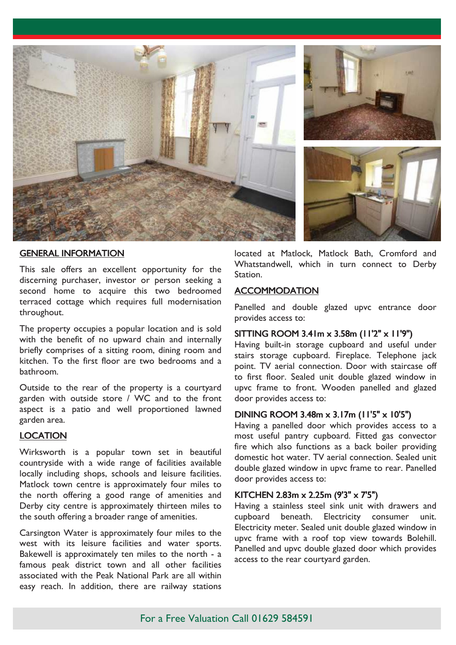





#### GENERAL INFORMATION

This sale offers an excellent opportunity for the discerning purchaser, investor or person seeking a second home to acquire this two bedroomed terraced cottage which requires full modernisation throughout.

The property occupies a popular location and is sold with the benefit of no upward chain and internally briefly comprises of a sitting room, dining room and kitchen. To the first floor are two bedrooms and a bathroom.

Outside to the rear of the property is a courtyard garden with outside store / WC and to the front aspect is a patio and well proportioned lawned garden area.

#### LOCATION

Wirksworth is a popular town set in beautiful countryside with a wide range of facilities available locally including shops, schools and leisure facilities. Matlock town centre is approximately four miles to the north offering a good range of amenities and Derby city centre is approximately thirteen miles to the south offering a broader range of amenities.

Carsington Water is approximately four miles to the west with its leisure facilities and water sports. Bakewell is approximately ten miles to the north - a famous peak district town and all other facilities associated with the Peak National Park are all within easy reach. In addition, there are railway stations

located at Matlock, Matlock Bath, Cromford and Whatstandwell, which in turn connect to Derby Station.

#### **ACCOMMODATION**

Panelled and double glazed upvc entrance door provides access to:

#### SITTING ROOM 3.41m x 3.58m (11'2" x 11'9")

Having built-in storage cupboard and useful under stairs storage cupboard. Fireplace. Telephone jack point. TV aerial connection. Door with staircase off to first floor. Sealed unit double glazed window in upvc frame to front. Wooden panelled and glazed door provides access to:

#### DINING ROOM 3.48m x 3.17m (11'5" x 10'5")

Having a panelled door which provides access to a most useful pantry cupboard. Fitted gas convector fire which also functions as a back boiler providing domestic hot water. TV aerial connection. Sealed unit double glazed window in upvc frame to rear. Panelled door provides access to:

#### KITCHEN 2.83m x 2.25m (9'3" x 7'5")

Having a stainless steel sink unit with drawers and cupboard beneath. Electricity consumer unit. Electricity meter. Sealed unit double glazed window in upvc frame with a roof top view towards Bolehill. Panelled and upvc double glazed door which provides access to the rear courtyard garden.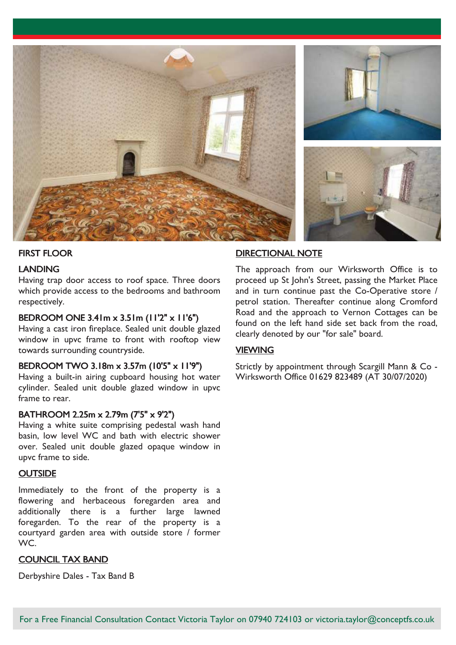

#### FIRST FLOOR

#### LANDING

Having trap door access to roof space. Three doors which provide access to the bedrooms and bathroom respectively.

#### BEDROOM ONE 3.41m x 3.51m (11'2" x 11'6")

Having a cast iron fireplace. Sealed unit double glazed window in upvc frame to front with rooftop view towards surrounding countryside.

#### BEDROOM TWO 3.18m x 3.57m (10'5" x 11'9")

Having a built-in airing cupboard housing hot water cylinder. Sealed unit double glazed window in upvc frame to rear.

#### BATHROOM 2.25m x 2.79m (7'5" x 9'2")

Having a white suite comprising pedestal wash hand basin, low level WC and bath with electric shower over. Sealed unit double glazed opaque window in upvc frame to side.

#### **OUTSIDE**

Immediately to the front of the property is a flowering and herbaceous foregarden area and additionally there is a further large lawned foregarden. To the rear of the property is a courtyard garden area with outside store / former WC.

#### COUNCIL TAX BAND

Derbyshire Dales - Tax Band B

#### DIRECTIONAL NOTE

The approach from our Wirksworth Office is to proceed up St John's Street, passing the Market Place and in turn continue past the Co-Operative store / petrol station. Thereafter continue along Cromford Road and the approach to Vernon Cottages can be found on the left hand side set back from the road, clearly denoted by our "for sale" board.

#### **VIEWING**

Strictly by appointment through Scargill Mann & Co - Wirksworth Office 01629 823489 (AT 30/07/2020)